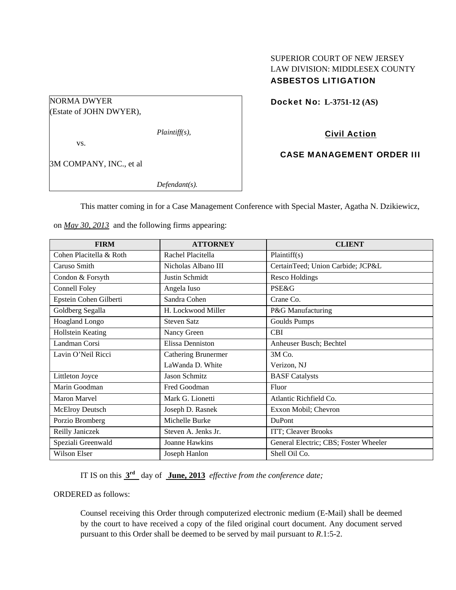# SUPERIOR COURT OF NEW JERSEY LAW DIVISION: MIDDLESEX COUNTY ASBESTOS LITIGATION

Docket No: **L-3751-12 (AS)** 

*Plaintiff(s),* 

vs.

NORMA DWYER

3M COMPANY, INC., et al

(Estate of JOHN DWYER),

*Defendant(s).* 

Civil Action

CASE MANAGEMENT ORDER III

This matter coming in for a Case Management Conference with Special Master, Agatha N. Dzikiewicz,

on *May 30, 2013* and the following firms appearing:

| <b>FIRM</b>             | <b>ATTORNEY</b>     | <b>CLIENT</b>                         |
|-------------------------|---------------------|---------------------------------------|
| Cohen Placitella & Roth | Rachel Placitella   | Plaintiff(s)                          |
| Caruso Smith            | Nicholas Albano III | CertainTeed; Union Carbide; JCP&L     |
| Condon & Forsyth        | Justin Schmidt      | <b>Resco Holdings</b>                 |
| <b>Connell Foley</b>    | Angela Iuso         | <b>PSE&amp;G</b>                      |
| Epstein Cohen Gilberti  | Sandra Cohen        | Crane Co.                             |
| Goldberg Segalla        | H. Lockwood Miller  | P&G Manufacturing                     |
| Hoagland Longo          | <b>Steven Satz</b>  | Goulds Pumps                          |
| Hollstein Keating       | Nancy Green         | <b>CBI</b>                            |
| Landman Corsi           | Elissa Denniston    | Anheuser Busch; Bechtel               |
| Lavin O'Neil Ricci      | Cathering Brunermer | 3M Co.                                |
|                         | LaWanda D. White    | Verizon, NJ                           |
| Littleton Joyce         | Jason Schmitz       | <b>BASF</b> Catalysts                 |
| Marin Goodman           | Fred Goodman        | Fluor                                 |
| Maron Marvel            | Mark G. Lionetti    | Atlantic Richfield Co.                |
| McElroy Deutsch         | Joseph D. Rasnek    | Exxon Mobil; Chevron                  |
| Porzio Bromberg         | Michelle Burke      | DuPont                                |
| Reilly Janiczek         | Steven A. Jenks Jr. | ITT; Cleaver Brooks                   |
| Speziali Greenwald      | Joanne Hawkins      | General Electric; CBS; Foster Wheeler |
| Wilson Elser            | Joseph Hanlon       | Shell Oil Co.                         |

IT IS on this **3rd** day of **June, 2013** *effective from the conference date;*

ORDERED as follows:

Counsel receiving this Order through computerized electronic medium (E-Mail) shall be deemed by the court to have received a copy of the filed original court document. Any document served pursuant to this Order shall be deemed to be served by mail pursuant to *R*.1:5-2.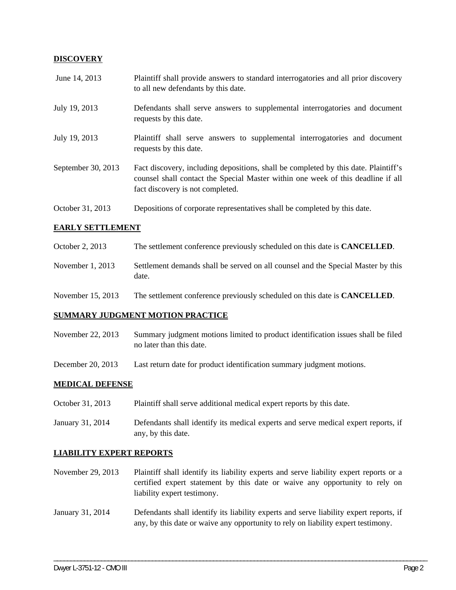## **DISCOVERY**

| June 14, 2013      | Plaintiff shall provide answers to standard interrogatories and all prior discovery<br>to all new defendants by this date.                                                                                  |
|--------------------|-------------------------------------------------------------------------------------------------------------------------------------------------------------------------------------------------------------|
| July 19, 2013      | Defendants shall serve answers to supplemental interrogatories and document<br>requests by this date.                                                                                                       |
| July 19, 2013      | Plaintiff shall serve answers to supplemental interrogatories and document<br>requests by this date.                                                                                                        |
| September 30, 2013 | Fact discovery, including depositions, shall be completed by this date. Plaintiff's<br>counsel shall contact the Special Master within one week of this deadline if all<br>fact discovery is not completed. |
| October 31, 2013   | Depositions of corporate representatives shall be completed by this date.                                                                                                                                   |

## **EARLY SETTLEMENT**

| October 2, 2013    | The settlement conference previously scheduled on this date is <b>CANCELLED</b> .         |
|--------------------|-------------------------------------------------------------------------------------------|
| November $1, 2013$ | Settlement demands shall be served on all counsel and the Special Master by this<br>date. |

November 15, 2013 The settlement conference previously scheduled on this date is **CANCELLED**.

## **SUMMARY JUDGMENT MOTION PRACTICE**

| November 22, 2013 | Summary judgment motions limited to product identification issues shall be filed |
|-------------------|----------------------------------------------------------------------------------|
|                   | no later than this date.                                                         |

December 20, 2013 Last return date for product identification summary judgment motions.

#### **MEDICAL DEFENSE**

- October 31, 2013 Plaintiff shall serve additional medical expert reports by this date.
- January 31, 2014 Defendants shall identify its medical experts and serve medical expert reports, if any, by this date.

#### **LIABILITY EXPERT REPORTS**

- November 29, 2013 Plaintiff shall identify its liability experts and serve liability expert reports or a certified expert statement by this date or waive any opportunity to rely on liability expert testimony.
- January 31, 2014 Defendants shall identify its liability experts and serve liability expert reports, if any, by this date or waive any opportunity to rely on liability expert testimony.

\_\_\_\_\_\_\_\_\_\_\_\_\_\_\_\_\_\_\_\_\_\_\_\_\_\_\_\_\_\_\_\_\_\_\_\_\_\_\_\_\_\_\_\_\_\_\_\_\_\_\_\_\_\_\_\_\_\_\_\_\_\_\_\_\_\_\_\_\_\_\_\_\_\_\_\_\_\_\_\_\_\_\_\_\_\_\_\_\_\_\_\_\_\_\_\_\_\_\_\_\_\_\_\_\_\_\_\_\_\_